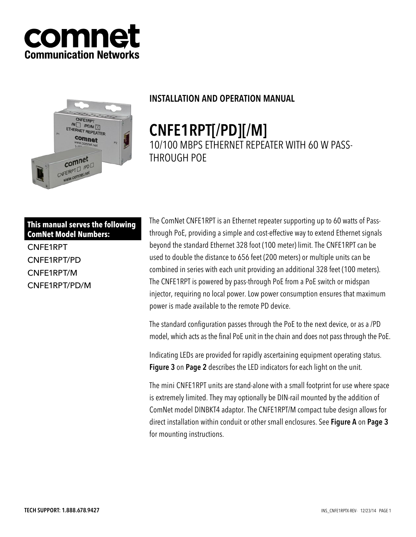



# INSTALLATION AND OPERATION MANUAL

CNFE1RPT[/PD][/M] 10/100 MBPS ETHERNET REPEATER WITH 60 W PASS-THROUGH POE

**This manual serves the following ComNet Model Numbers:**

CNFE1RPT CNFE1RPT/PD CNFE1RPT/M CNFE1RPT/PD/M The ComNet CNFE1RPT is an Ethernet repeater supporting up to 60 watts of Passthrough PoE, providing a simple and cost-effective way to extend Ethernet signals beyond the standard Ethernet 328 foot (100 meter) limit. The CNFE1RPT can be used to double the distance to 656 feet (200 meters) or multiple units can be combined in series with each unit providing an additional 328 feet (100 meters). The CNFE1RPT is powered by pass-through PoE from a PoE switch or midspan injector, requiring no local power. Low power consumption ensures that maximum power is made available to the remote PD device.

The standard configuration passes through the PoE to the next device, or as a /PD model, which acts as the final PoE unit in the chain and does not pass through the PoE.

Indicating LEDs are provided for rapidly ascertaining equipment operating status. **Figure 3** on Page 2 describes the LED indicators for each light on the unit.

The mini CNFE1RPT units are stand-alone with a small footprint for use where space is extremely limited. They may optionally be DIN-rail mounted by the addition of ComNet model DINBKT4 adaptor. The CNFE1RPT/M compact tube design allows for direct installation within conduit or other small enclosures. See Figure A on Page 3 for mounting instructions.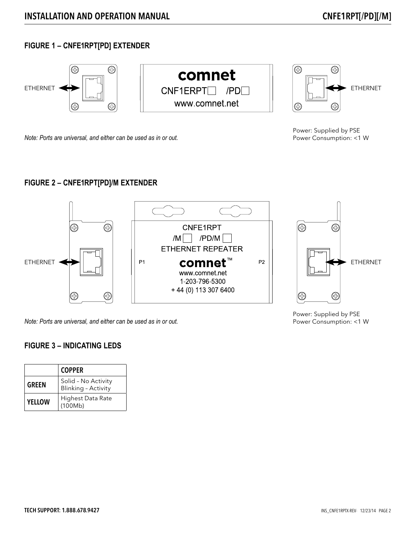# **FIGURE 1 – CNFE1RPT[PD] EXTENDER**



*Note: Ports are universal, and either can be used as in or out.*

Power: Supplied by PSE Power Consumption: <1 W

Power Consumption: <1 W

## **FIGURE 2 – CNFE1RPT[PD]/M EXTENDER**



*Note: Ports are universal, and either can be used as in or out.*

### **FIGURE 3 – INDICATING LEDS**

|               | <b>COPPER</b>                                     |
|---------------|---------------------------------------------------|
| <b>GREEN</b>  | Solid - No Activity<br><b>Blinking - Activity</b> |
| <b>YELLOW</b> | Highest Data Rate<br>(100Mb)                      |